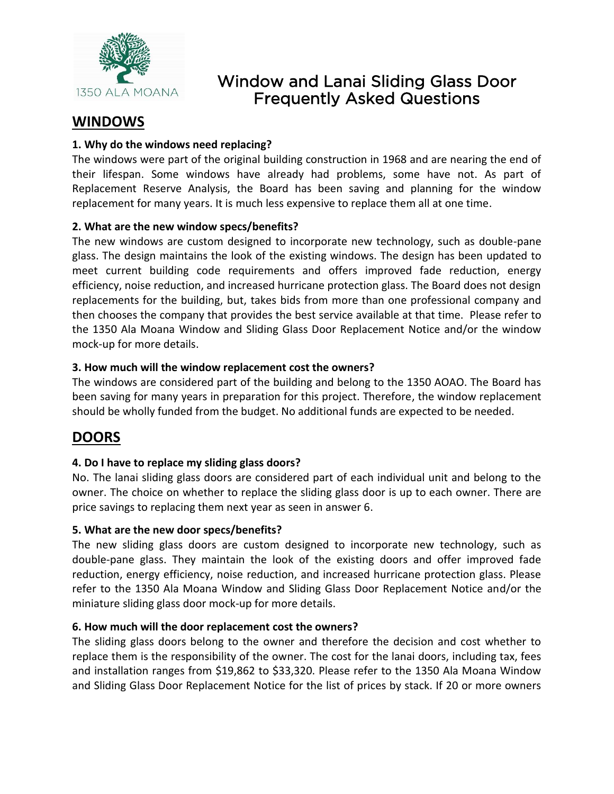

# Window and Lanai Sliding Glass Door Frequently Asked Questions

## **WINDOWS**

### **1. Why do the windows need replacing?**

The windows were part of the original building construction in 1968 and are nearing the end of their lifespan. Some windows have already had problems, some have not. As part of Replacement Reserve Analysis, the Board has been saving and planning for the window replacement for many years. It is much less expensive to replace them all at one time.

### **2. What are the new window specs/benefits?**

The new windows are custom designed to incorporate new technology, such as double-pane glass. The design maintains the look of the existing windows. The design has been updated to meet current building code requirements and offers improved fade reduction, energy efficiency, noise reduction, and increased hurricane protection glass. The Board does not design replacements for the building, but, takes bids from more than one professional company and then chooses the company that provides the best service available at that time. Please refer to the 1350 Ala Moana Window and Sliding Glass Door Replacement Notice and/or the window mock-up for more details.

#### **3. How much will the window replacement cost the owners?**

The windows are considered part of the building and belong to the 1350 AOAO. The Board has been saving for many years in preparation for this project. Therefore, the window replacement should be wholly funded from the budget. No additional funds are expected to be needed.

# **DOORS**

### **4. Do I have to replace my sliding glass doors?**

No. The lanai sliding glass doors are considered part of each individual unit and belong to the owner. The choice on whether to replace the sliding glass door is up to each owner. There are price savings to replacing them next year as seen in answer 6.

### **5. What are the new door specs/benefits?**

The new sliding glass doors are custom designed to incorporate new technology, such as double-pane glass. They maintain the look of the existing doors and offer improved fade reduction, energy efficiency, noise reduction, and increased hurricane protection glass. Please refer to the 1350 Ala Moana Window and Sliding Glass Door Replacement Notice and/or the miniature sliding glass door mock-up for more details.

### **6. How much will the door replacement cost the owners?**

The sliding glass doors belong to the owner and therefore the decision and cost whether to replace them is the responsibility of the owner. The cost for the lanai doors, including tax, fees and installation ranges from \$19,862 to \$33,320. Please refer to the 1350 Ala Moana Window and Sliding Glass Door Replacement Notice for the list of prices by stack. If 20 or more owners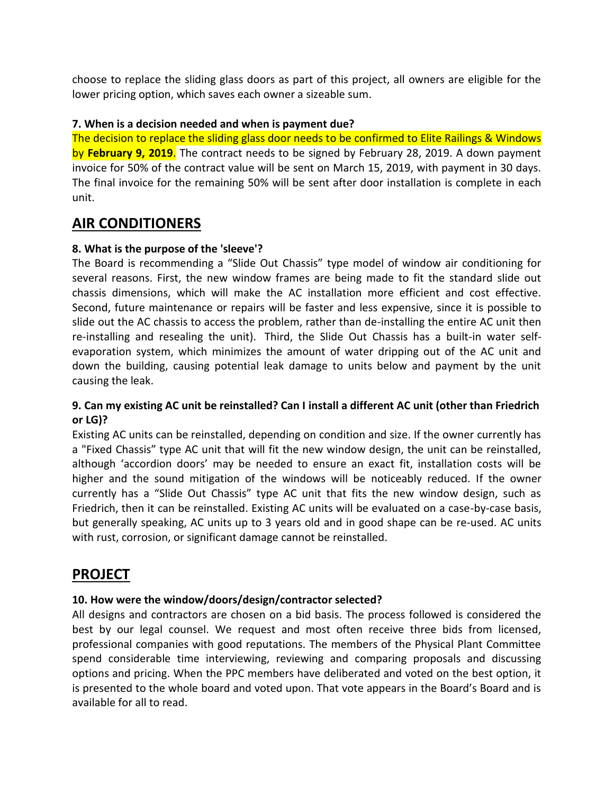choose to replace the sliding glass doors as part of this project, all owners are eligible for the lower pricing option, which saves each owner a sizeable sum.

### **7. When is a decision needed and when is payment due?**

The decision to replace the sliding glass door needs to be confirmed to Elite Railings & Windows by **February 9, 2019**. The contract needs to be signed by February 28, 2019. A down payment invoice for 50% of the contract value will be sent on March 15, 2019, with payment in 30 days. The final invoice for the remaining 50% will be sent after door installation is complete in each unit.

### **AIR CONDITIONERS**

#### **8. What is the purpose of the 'sleeve'?**

The Board is recommending a "Slide Out Chassis" type model of window air conditioning for several reasons. First, the new window frames are being made to fit the standard slide out chassis dimensions, which will make the AC installation more efficient and cost effective. Second, future maintenance or repairs will be faster and less expensive, since it is possible to slide out the AC chassis to access the problem, rather than de-installing the entire AC unit then re-installing and resealing the unit). Third, the Slide Out Chassis has a built-in water selfevaporation system, which minimizes the amount of water dripping out of the AC unit and down the building, causing potential leak damage to units below and payment by the unit causing the leak.

### **9. Can my existing AC unit be reinstalled? Can I install a different AC unit (other than Friedrich or LG)?**

Existing AC units can be reinstalled, depending on condition and size. If the owner currently has a "Fixed Chassis" type AC unit that will fit the new window design, the unit can be reinstalled, although 'accordion doors' may be needed to ensure an exact fit, installation costs will be higher and the sound mitigation of the windows will be noticeably reduced. If the owner currently has a "Slide Out Chassis" type AC unit that fits the new window design, such as Friedrich, then it can be reinstalled. Existing AC units will be evaluated on a case-by-case basis, but generally speaking, AC units up to 3 years old and in good shape can be re-used. AC units with rust, corrosion, or significant damage cannot be reinstalled.

### **PROJECT**

### **10. How were the window/doors/design/contractor selected?**

All designs and contractors are chosen on a bid basis. The process followed is considered the best by our legal counsel. We request and most often receive three bids from licensed, professional companies with good reputations. The members of the Physical Plant Committee spend considerable time interviewing, reviewing and comparing proposals and discussing options and pricing. When the PPC members have deliberated and voted on the best option, it is presented to the whole board and voted upon. That vote appears in the Board's Board and is available for all to read.